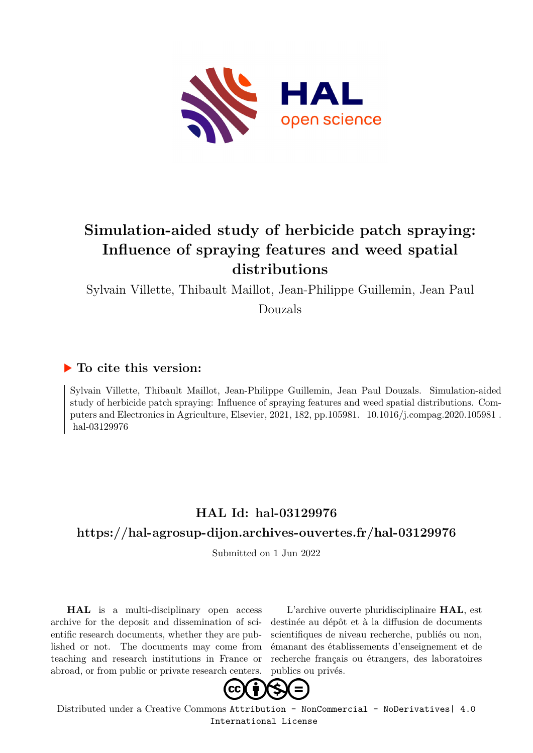

# **Simulation-aided study of herbicide patch spraying: Influence of spraying features and weed spatial distributions**

Sylvain Villette, Thibault Maillot, Jean-Philippe Guillemin, Jean Paul

Douzals

## **To cite this version:**

Sylvain Villette, Thibault Maillot, Jean-Philippe Guillemin, Jean Paul Douzals. Simulation-aided study of herbicide patch spraying: Influence of spraying features and weed spatial distributions. Computers and Electronics in Agriculture, Elsevier, 2021, 182, pp.105981.  $10.1016/j.compag.2020.105981$ . hal-03129976

## **HAL Id: hal-03129976 <https://hal-agrosup-dijon.archives-ouvertes.fr/hal-03129976>**

Submitted on 1 Jun 2022

**HAL** is a multi-disciplinary open access archive for the deposit and dissemination of scientific research documents, whether they are published or not. The documents may come from teaching and research institutions in France or abroad, or from public or private research centers.

L'archive ouverte pluridisciplinaire **HAL**, est destinée au dépôt et à la diffusion de documents scientifiques de niveau recherche, publiés ou non, émanant des établissements d'enseignement et de recherche français ou étrangers, des laboratoires publics ou privés.



Distributed under a Creative Commons [Attribution - NonCommercial - NoDerivatives| 4.0](http://creativecommons.org/licenses/by-nc-nd/4.0/) [International License](http://creativecommons.org/licenses/by-nc-nd/4.0/)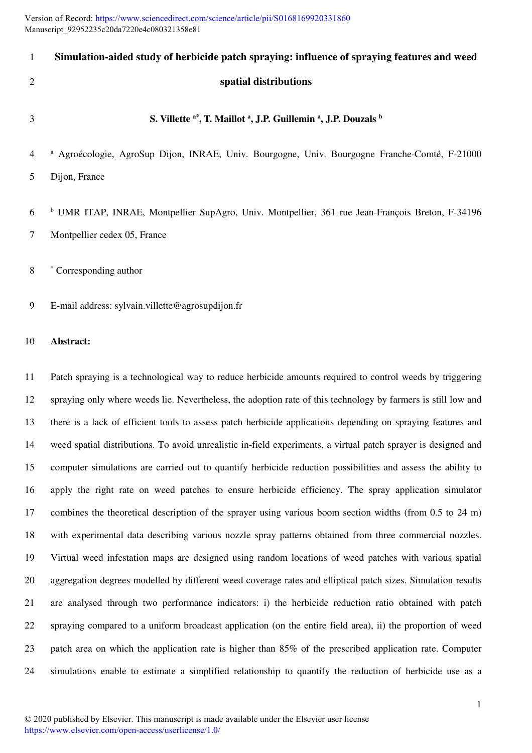Version of Record: <https://www.sciencedirect.com/science/article/pii/S0168169920331860> Manuscript\_92952235c20da7220e4c080321358e81

| $\mathbf{1}$   | Simulation-aided study of herbicide patch spraying: influence of spraying features and weed                                                 |
|----------------|---------------------------------------------------------------------------------------------------------------------------------------------|
| $\overline{2}$ | spatial distributions                                                                                                                       |
| 3              | S. Villette <sup>a*</sup> , T. Maillot <sup>a</sup> , J.P. Guillemin <sup>a</sup> , J.P. Douzals <sup>b</sup>                               |
| $\overline{4}$ | <sup>a</sup> Agroécologie, AgroSup Dijon, INRAE, Univ. Bourgogne, Univ. Bourgogne Franche-Comté, F-21000                                    |
| 5              | Dijon, France                                                                                                                               |
| 6<br>7         | <sup>b</sup> UMR ITAP, INRAE, Montpellier SupAgro, Univ. Montpellier, 361 rue Jean-François Breton, F-34196<br>Montpellier cedex 05, France |
| $8\,$          | Corresponding author                                                                                                                        |
| 9              | E-mail address: sylvain.villette@agrosupdijon.fr                                                                                            |
| 10             | Abstract:                                                                                                                                   |
| 11             | Patch spraying is a technological way to reduce herbicide amounts required to control weeds by triggering                                   |
| 12             | spraying only where weeds lie. Nevertheless, the adoption rate of this technology by farmers is still low and                               |
| 13             | there is a lack of efficient tools to assess patch herbicide applications depending on spraying features and                                |
| 14             | weed spatial distributions. To avoid unrealistic in-field experiments, a virtual patch sprayer is designed and                              |
| 15             | computer simulations are carried out to quantify herbicide reduction possibilities and assess the ability to                                |
| 16             | apply the right rate on weed patches to ensure herbicide efficiency. The spray application simulator                                        |
| 17             | combines the theoretical description of the sprayer using various boom section widths (from 0.5 to 24 m)                                    |
| 18             | with experimental data describing various nozzle spray patterns obtained from three commercial nozzles.                                     |
| 19             | Virtual weed infestation maps are designed using random locations of weed patches with various spatial                                      |
| 20             | aggregation degrees modelled by different weed coverage rates and elliptical patch sizes. Simulation results                                |
| 21             | are analysed through two performance indicators: i) the herbicide reduction ratio obtained with patch                                       |
| 22             | spraying compared to a uniform broadcast application (on the entire field area), ii) the proportion of weed                                 |
| 23             | patch area on which the application rate is higher than 85% of the prescribed application rate. Computer                                    |
| 24             | simulations enable to estimate a simplified relationship to quantify the reduction of herbicide use as a                                    |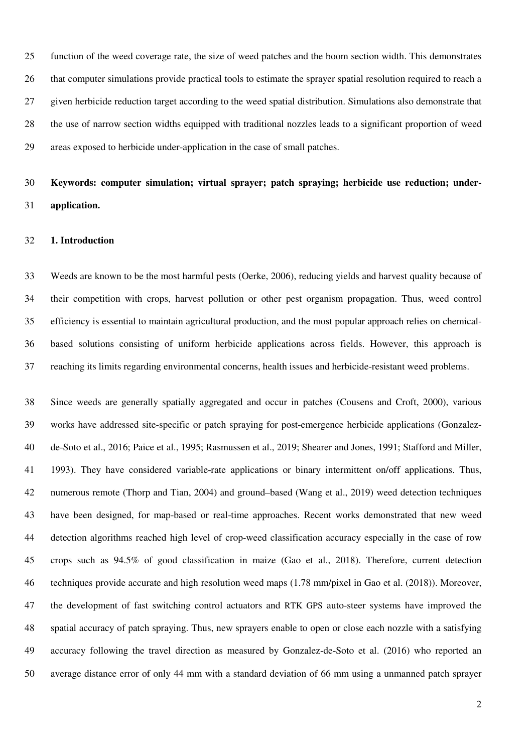25 function of the weed coverage rate, the size of weed patches and the boom section width. This demonstrates 26 that computer simulations provide practical tools to estimate the sprayer spatial resolution required to reach a 27 given herbicide reduction target according to the weed spatial distribution. Simulations also demonstrate that 28 the use of narrow section widths equipped with traditional nozzles leads to a significant proportion of weed 29 areas exposed to herbicide under-application in the case of small patches.

30 **Keywords: computer simulation; virtual sprayer; patch spraying; herbicide use reduction; under-**31 **application.** 

#### 32 **1. Introduction**

33 Weeds are known to be the most harmful pests (Oerke, 2006), reducing yields and harvest quality because of 34 their competition with crops, harvest pollution or other pest organism propagation. Thus, weed control 35 efficiency is essential to maintain agricultural production, and the most popular approach relies on chemical-36 based solutions consisting of uniform herbicide applications across fields. However, this approach is 37 reaching its limits regarding environmental concerns, health issues and herbicide-resistant weed problems.

38 Since weeds are generally spatially aggregated and occur in patches (Cousens and Croft, 2000), various 39 works have addressed site-specific or patch spraying for post-emergence herbicide applications (Gonzalez-40 de-Soto et al., 2016; Paice et al., 1995; Rasmussen et al., 2019; Shearer and Jones, 1991; Stafford and Miller, 41 1993). They have considered variable-rate applications or binary intermittent on/off applications. Thus, 42 numerous remote (Thorp and Tian, 2004) and ground–based (Wang et al., 2019) weed detection techniques 43 have been designed, for map-based or real-time approaches. Recent works demonstrated that new weed 44 detection algorithms reached high level of crop-weed classification accuracy especially in the case of row 45 crops such as 94.5% of good classification in maize (Gao et al., 2018). Therefore, current detection 46 techniques provide accurate and high resolution weed maps (1.78 mm/pixel in Gao et al. (2018)). Moreover, 47 the development of fast switching control actuators and RTK GPS auto-steer systems have improved the 48 spatial accuracy of patch spraying. Thus, new sprayers enable to open or close each nozzle with a satisfying 49 accuracy following the travel direction as measured by Gonzalez-de-Soto et al. (2016) who reported an 50 average distance error of only 44 mm with a standard deviation of 66 mm using a unmanned patch sprayer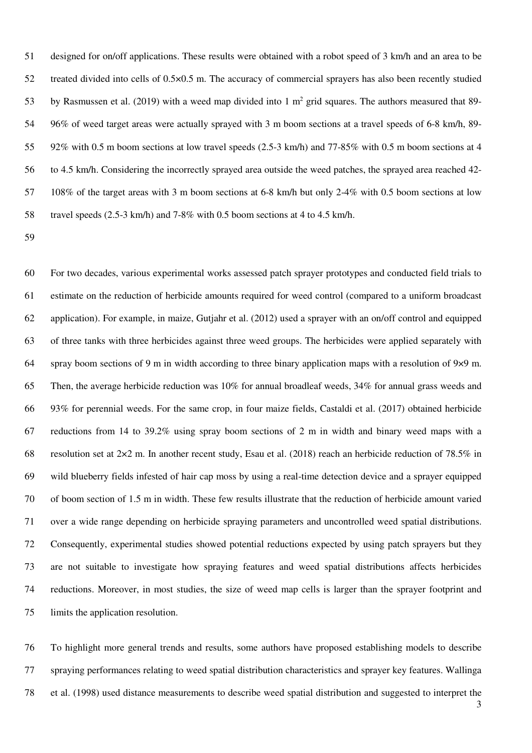51 designed for on/off applications. These results were obtained with a robot speed of 3 km/h and an area to be 52 treated divided into cells of 0.5×0.5 m. The accuracy of commercial sprayers has also been recently studied 53 by Rasmussen et al. (2019) with a weed map divided into 1  $m<sup>2</sup>$  grid squares. The authors measured that 89-54 96% of weed target areas were actually sprayed with 3 m boom sections at a travel speeds of 6-8 km/h, 89- 55 92% with 0.5 m boom sections at low travel speeds (2.5-3 km/h) and 77-85% with 0.5 m boom sections at 4 56 to 4.5 km/h. Considering the incorrectly sprayed area outside the weed patches, the sprayed area reached 42- 57 108% of the target areas with 3 m boom sections at 6-8 km/h but only 2-4% with 0.5 boom sections at low 58 travel speeds (2.5-3 km/h) and 7-8% with 0.5 boom sections at 4 to 4.5 km/h.

59

60 For two decades, various experimental works assessed patch sprayer prototypes and conducted field trials to 61 estimate on the reduction of herbicide amounts required for weed control (compared to a uniform broadcast 62 application). For example, in maize, Gutjahr et al. (2012) used a sprayer with an on/off control and equipped 63 of three tanks with three herbicides against three weed groups. The herbicides were applied separately with 64 spray boom sections of 9 m in width according to three binary application maps with a resolution of 9×9 m. 65 Then, the average herbicide reduction was 10% for annual broadleaf weeds, 34% for annual grass weeds and 66 93% for perennial weeds. For the same crop, in four maize fields, Castaldi et al. (2017) obtained herbicide 67 reductions from 14 to 39.2% using spray boom sections of 2 m in width and binary weed maps with a 68 resolution set at 2×2 m. In another recent study, Esau et al. (2018) reach an herbicide reduction of 78.5% in 69 wild blueberry fields infested of hair cap moss by using a real-time detection device and a sprayer equipped 70 of boom section of 1.5 m in width. These few results illustrate that the reduction of herbicide amount varied 71 over a wide range depending on herbicide spraying parameters and uncontrolled weed spatial distributions. 72 Consequently, experimental studies showed potential reductions expected by using patch sprayers but they 73 are not suitable to investigate how spraying features and weed spatial distributions affects herbicides 74 reductions. Moreover, in most studies, the size of weed map cells is larger than the sprayer footprint and 75 limits the application resolution.

76 To highlight more general trends and results, some authors have proposed establishing models to describe 77 spraying performances relating to weed spatial distribution characteristics and sprayer key features. Wallinga 78 et al. (1998) used distance measurements to describe weed spatial distribution and suggested to interpret the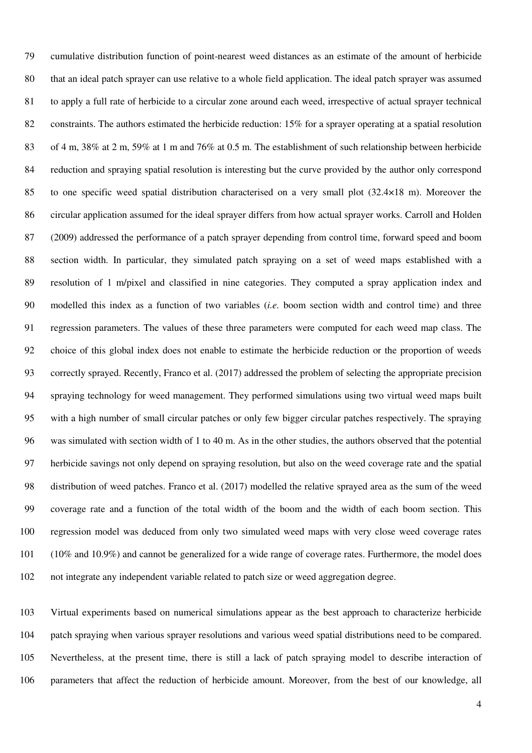79 cumulative distribution function of point-nearest weed distances as an estimate of the amount of herbicide 80 that an ideal patch sprayer can use relative to a whole field application. The ideal patch sprayer was assumed 81 to apply a full rate of herbicide to a circular zone around each weed, irrespective of actual sprayer technical 82 constraints. The authors estimated the herbicide reduction: 15% for a sprayer operating at a spatial resolution 83 of 4 m, 38% at 2 m, 59% at 1 m and 76% at 0.5 m. The establishment of such relationship between herbicide 84 reduction and spraying spatial resolution is interesting but the curve provided by the author only correspond 85 to one specific weed spatial distribution characterised on a very small plot (32.4×18 m). Moreover the 86 circular application assumed for the ideal sprayer differs from how actual sprayer works. Carroll and Holden 87 (2009) addressed the performance of a patch sprayer depending from control time, forward speed and boom 88 section width. In particular, they simulated patch spraying on a set of weed maps established with a 89 resolution of 1 m/pixel and classified in nine categories. They computed a spray application index and 90 modelled this index as a function of two variables (*i.e.* boom section width and control time) and three 91 regression parameters. The values of these three parameters were computed for each weed map class. The 92 choice of this global index does not enable to estimate the herbicide reduction or the proportion of weeds 93 correctly sprayed. Recently, Franco et al. (2017) addressed the problem of selecting the appropriate precision 94 spraying technology for weed management. They performed simulations using two virtual weed maps built 95 with a high number of small circular patches or only few bigger circular patches respectively. The spraying 96 was simulated with section width of 1 to 40 m. As in the other studies, the authors observed that the potential 97 herbicide savings not only depend on spraying resolution, but also on the weed coverage rate and the spatial 98 distribution of weed patches. Franco et al. (2017) modelled the relative sprayed area as the sum of the weed 99 coverage rate and a function of the total width of the boom and the width of each boom section. This 100 regression model was deduced from only two simulated weed maps with very close weed coverage rates 101 (10% and 10.9%) and cannot be generalized for a wide range of coverage rates. Furthermore, the model does 102 not integrate any independent variable related to patch size or weed aggregation degree.

103 Virtual experiments based on numerical simulations appear as the best approach to characterize herbicide 104 patch spraying when various sprayer resolutions and various weed spatial distributions need to be compared. 105 Nevertheless, at the present time, there is still a lack of patch spraying model to describe interaction of 106 parameters that affect the reduction of herbicide amount. Moreover, from the best of our knowledge, all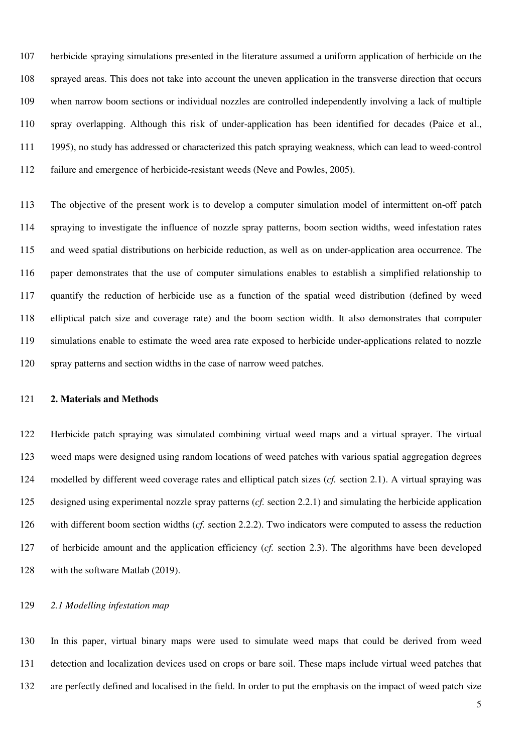107 herbicide spraying simulations presented in the literature assumed a uniform application of herbicide on the 108 sprayed areas. This does not take into account the uneven application in the transverse direction that occurs 109 when narrow boom sections or individual nozzles are controlled independently involving a lack of multiple 110 spray overlapping. Although this risk of under-application has been identified for decades (Paice et al., 111 1995), no study has addressed or characterized this patch spraying weakness, which can lead to weed-control 112 failure and emergence of herbicide-resistant weeds (Neve and Powles, 2005).

113 The objective of the present work is to develop a computer simulation model of intermittent on-off patch 114 spraying to investigate the influence of nozzle spray patterns, boom section widths, weed infestation rates 115 and weed spatial distributions on herbicide reduction, as well as on under-application area occurrence. The 116 paper demonstrates that the use of computer simulations enables to establish a simplified relationship to 117 quantify the reduction of herbicide use as a function of the spatial weed distribution (defined by weed 118 elliptical patch size and coverage rate) and the boom section width. It also demonstrates that computer 119 simulations enable to estimate the weed area rate exposed to herbicide under-applications related to nozzle 120 spray patterns and section widths in the case of narrow weed patches.

### 121 **2. Materials and Methods**

122 Herbicide patch spraying was simulated combining virtual weed maps and a virtual sprayer. The virtual 123 weed maps were designed using random locations of weed patches with various spatial aggregation degrees 124 modelled by different weed coverage rates and elliptical patch sizes (*cf.* section 2.1). A virtual spraying was 125 designed using experimental nozzle spray patterns (*cf.* section 2.2.1) and simulating the herbicide application 126 with different boom section widths (*cf.* section 2.2.2). Two indicators were computed to assess the reduction 127 of herbicide amount and the application efficiency (*cf.* section 2.3). The algorithms have been developed 128 with the software Matlab (2019).

### 129 *2.1 Modelling infestation map*

130 In this paper, virtual binary maps were used to simulate weed maps that could be derived from weed 131 detection and localization devices used on crops or bare soil. These maps include virtual weed patches that 132 are perfectly defined and localised in the field. In order to put the emphasis on the impact of weed patch size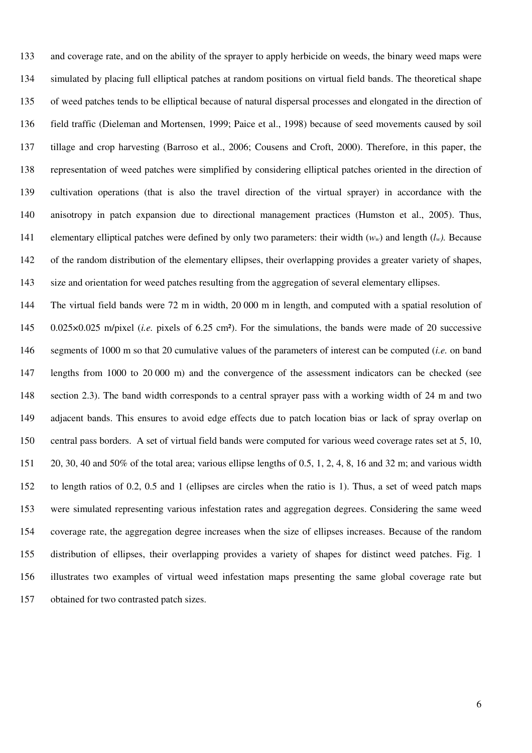133 and coverage rate, and on the ability of the sprayer to apply herbicide on weeds, the binary weed maps were 134 simulated by placing full elliptical patches at random positions on virtual field bands. The theoretical shape 135 of weed patches tends to be elliptical because of natural dispersal processes and elongated in the direction of 136 field traffic (Dieleman and Mortensen, 1999; Paice et al., 1998) because of seed movements caused by soil 137 tillage and crop harvesting (Barroso et al., 2006; Cousens and Croft, 2000). Therefore, in this paper, the 138 representation of weed patches were simplified by considering elliptical patches oriented in the direction of 139 cultivation operations (that is also the travel direction of the virtual sprayer) in accordance with the 140 anisotropy in patch expansion due to directional management practices (Humston et al., 2005). Thus, 141 elementary elliptical patches were defined by only two parameters: their width  $(w<sub>w</sub>)$  and length  $(l<sub>w</sub>)$ . Because 142 of the random distribution of the elementary ellipses, their overlapping provides a greater variety of shapes, 143 size and orientation for weed patches resulting from the aggregation of several elementary ellipses.

144 The virtual field bands were 72 m in width, 20 000 m in length, and computed with a spatial resolution of 145 0.025×0.025 m/pixel (*i.e.* pixels of 6.25 cm²). For the simulations, the bands were made of 20 successive 146 segments of 1000 m so that 20 cumulative values of the parameters of interest can be computed (*i.e.* on band 147 lengths from 1000 to 20 000 m) and the convergence of the assessment indicators can be checked (see 148 section 2.3). The band width corresponds to a central sprayer pass with a working width of 24 m and two 149 adjacent bands. This ensures to avoid edge effects due to patch location bias or lack of spray overlap on 150 central pass borders. A set of virtual field bands were computed for various weed coverage rates set at 5, 10, 151 20, 30, 40 and 50% of the total area; various ellipse lengths of 0.5, 1, 2, 4, 8, 16 and 32 m; and various width 152 to length ratios of 0.2, 0.5 and 1 (ellipses are circles when the ratio is 1). Thus, a set of weed patch maps 153 were simulated representing various infestation rates and aggregation degrees. Considering the same weed 154 coverage rate, the aggregation degree increases when the size of ellipses increases. Because of the random 155 distribution of ellipses, their overlapping provides a variety of shapes for distinct weed patches. Fig. 1 156 illustrates two examples of virtual weed infestation maps presenting the same global coverage rate but 157 obtained for two contrasted patch sizes.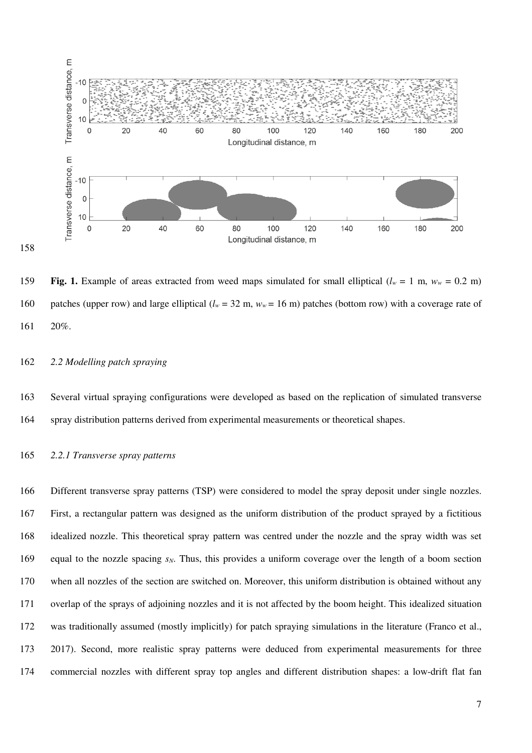

159 **Fig. 1.** Example of areas extracted from weed maps simulated for small elliptical ( $l_w = 1$  m,  $w_w = 0.2$  m) 160 patches (upper row) and large elliptical  $(l_w = 32 \text{ m}, w_w = 16 \text{ m})$  patches (bottom row) with a coverage rate of 161 20%.

### 162 *2.2 Modelling patch spraying*

158

163 Several virtual spraying configurations were developed as based on the replication of simulated transverse 164 spray distribution patterns derived from experimental measurements or theoretical shapes.

### 165 *2.2.1 Transverse spray patterns*

166 Different transverse spray patterns (TSP) were considered to model the spray deposit under single nozzles. 167 First, a rectangular pattern was designed as the uniform distribution of the product sprayed by a fictitious 168 idealized nozzle. This theoretical spray pattern was centred under the nozzle and the spray width was set 169 equal to the nozzle spacing *sN*. Thus, this provides a uniform coverage over the length of a boom section 170 when all nozzles of the section are switched on. Moreover, this uniform distribution is obtained without any 171 overlap of the sprays of adjoining nozzles and it is not affected by the boom height. This idealized situation 172 was traditionally assumed (mostly implicitly) for patch spraying simulations in the literature (Franco et al., 173 2017). Second, more realistic spray patterns were deduced from experimental measurements for three 174 commercial nozzles with different spray top angles and different distribution shapes: a low-drift flat fan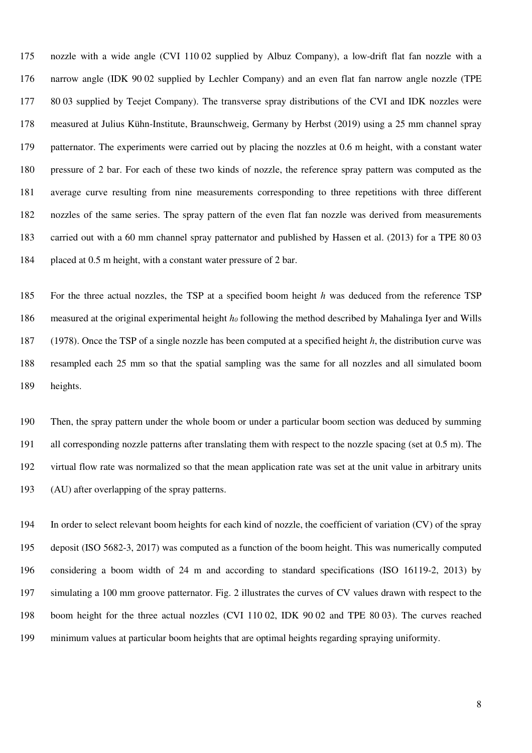175 nozzle with a wide angle (CVI 110 02 supplied by Albuz Company), a low-drift flat fan nozzle with a 176 narrow angle (IDK 90 02 supplied by Lechler Company) and an even flat fan narrow angle nozzle (TPE 177 80 03 supplied by Teejet Company). The transverse spray distributions of the CVI and IDK nozzles were 178 measured at Julius Kühn-Institute, Braunschweig, Germany by Herbst (2019) using a 25 mm channel spray 179 patternator. The experiments were carried out by placing the nozzles at 0.6 m height, with a constant water 180 pressure of 2 bar. For each of these two kinds of nozzle, the reference spray pattern was computed as the 181 average curve resulting from nine measurements corresponding to three repetitions with three different 182 nozzles of the same series. The spray pattern of the even flat fan nozzle was derived from measurements 183 carried out with a 60 mm channel spray patternator and published by Hassen et al. (2013) for a TPE 80 03 184 placed at 0.5 m height, with a constant water pressure of 2 bar.

185 For the three actual nozzles, the TSP at a specified boom height *h* was deduced from the reference TSP 186 measured at the original experimental height *h0* following the method described by Mahalinga Iyer and Wills 187 (1978). Once the TSP of a single nozzle has been computed at a specified height *h*, the distribution curve was 188 resampled each 25 mm so that the spatial sampling was the same for all nozzles and all simulated boom 189 heights.

190 Then, the spray pattern under the whole boom or under a particular boom section was deduced by summing 191 all corresponding nozzle patterns after translating them with respect to the nozzle spacing (set at 0.5 m). The 192 virtual flow rate was normalized so that the mean application rate was set at the unit value in arbitrary units 193 (AU) after overlapping of the spray patterns.

194 In order to select relevant boom heights for each kind of nozzle, the coefficient of variation (CV) of the spray 195 deposit (ISO 5682-3, 2017) was computed as a function of the boom height. This was numerically computed 196 considering a boom width of 24 m and according to standard specifications (ISO 16119-2, 2013) by 197 simulating a 100 mm groove patternator. Fig. 2 illustrates the curves of CV values drawn with respect to the 198 boom height for the three actual nozzles (CVI 110 02, IDK 90 02 and TPE 80 03). The curves reached 199 minimum values at particular boom heights that are optimal heights regarding spraying uniformity.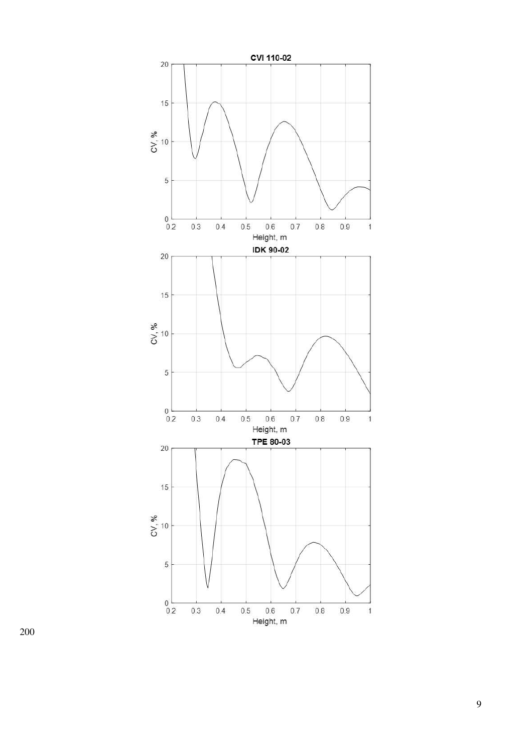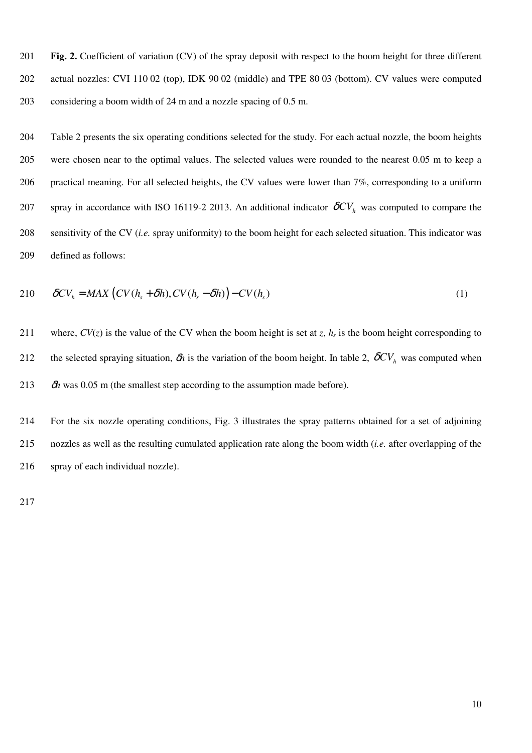201 **Fig. 2.** Coefficient of variation (CV) of the spray deposit with respect to the boom height for three different 202 actual nozzles: CVI 110 02 (top), IDK 90 02 (middle) and TPE 80 03 (bottom). CV values were computed 203 considering a boom width of 24 m and a nozzle spacing of 0.5 m.

204 Table 2 presents the six operating conditions selected for the study. For each actual nozzle, the boom heights 205 were chosen near to the optimal values. The selected values were rounded to the nearest 0.05 m to keep a 206 practical meaning. For all selected heights, the CV values were lower than 7%, corresponding to a uniform spray in accordance with ISO 16119-2 2013. An additional indicator  $\delta CV_h$  was computed to compare the 208 sensitivity of the CV (*i.e.* spray uniformity) to the boom height for each selected situation. This indicator was 209 defined as follows:

$$
210 \t\t \delta CV_h = MAX(CV(h_s + \delta h), CV(h_s - \delta h)) - CV(h_s)
$$
\n(1)

211 where,  $CV(z)$  is the value of the CV when the boom height is set at *z*,  $h_s$  is the boom height corresponding to the selected spraying situation,  $\delta h$  is the variation of the boom height. In table 2,  $\delta CV_h$  was computed when 213  $\delta h$  was 0.05 m (the smallest step according to the assumption made before).

214 For the six nozzle operating conditions, Fig. 3 illustrates the spray patterns obtained for a set of adjoining 215 nozzles as well as the resulting cumulated application rate along the boom width (*i.e.* after overlapping of the 216 spray of each individual nozzle).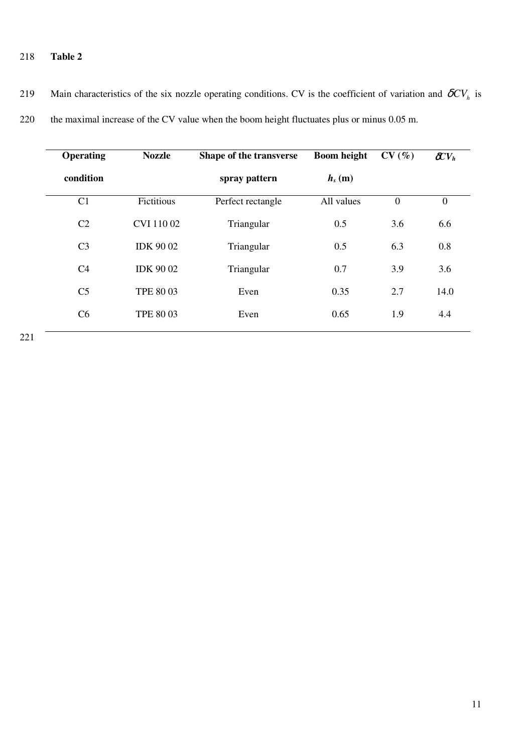### 218 **Table 2**

Main characteristics of the six nozzle operating conditions. CV is the coefficient of variation and  $\delta CV_h$  is 220 the maximal increase of the CV value when the boom height fluctuates plus or minus 0.05 m.

**Operating Nozzle Shape of the transverse** 

| Shape of the transverse | <b>Boom height</b> | CV(%)        | $\delta CV_h$    |
|-------------------------|--------------------|--------------|------------------|
| spray pattern           | $h_s(m)$           |              |                  |
| Perfect rectangle       | All values         | $\mathbf{0}$ | $\boldsymbol{0}$ |
| Triangular              | 0.5                | 3.6          | 6.6              |
| Triangular              | 0.5                | 6.3          | 0.8              |
| Triangular              | 0.7                | 3.9          | 3.6              |
| Even                    | 0.35               | 2.7          | 14.0             |
| Even                    | 0.65               | 1.9          | 4.4              |
|                         |                    |              |                  |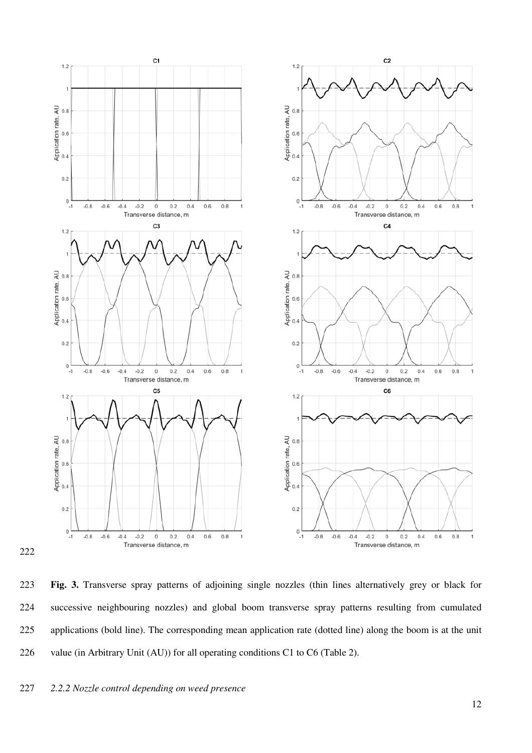

222

223 **Fig. 3.** Transverse spray patterns of adjoining single nozzles (thin lines alternatively grey or black for 224 successive neighbouring nozzles) and global boom transverse spray patterns resulting from cumulated 225 applications (bold line). The corresponding mean application rate (dotted line) along the boom is at the unit 226 value (in Arbitrary Unit (AU)) for all operating conditions C1 to C6 (Table 2).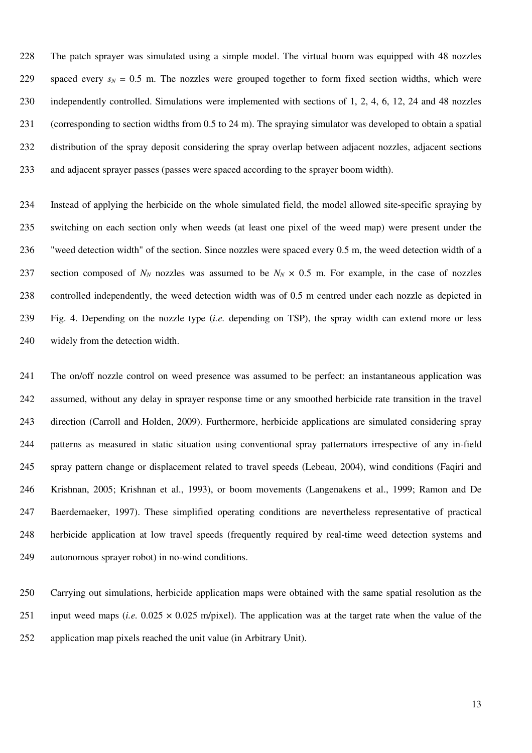228 The patch sprayer was simulated using a simple model. The virtual boom was equipped with 48 nozzles 229 spaced every  $s_N = 0.5$  m. The nozzles were grouped together to form fixed section widths, which were 230 independently controlled. Simulations were implemented with sections of 1, 2, 4, 6, 12, 24 and 48 nozzles 231 (corresponding to section widths from 0.5 to 24 m). The spraying simulator was developed to obtain a spatial 232 distribution of the spray deposit considering the spray overlap between adjacent nozzles, adjacent sections 233 and adjacent sprayer passes (passes were spaced according to the sprayer boom width).

234 Instead of applying the herbicide on the whole simulated field, the model allowed site-specific spraying by 235 switching on each section only when weeds (at least one pixel of the weed map) were present under the 236 "weed detection width" of the section. Since nozzles were spaced every 0.5 m, the weed detection width of a 237 section composed of  $N_N$  nozzles was assumed to be  $N_N \times 0.5$  m. For example, in the case of nozzles 238 controlled independently, the weed detection width was of 0.5 m centred under each nozzle as depicted in 239 Fig. 4. Depending on the nozzle type (*i.e.* depending on TSP), the spray width can extend more or less 240 widely from the detection width.

241 The on/off nozzle control on weed presence was assumed to be perfect: an instantaneous application was 242 assumed, without any delay in sprayer response time or any smoothed herbicide rate transition in the travel 243 direction (Carroll and Holden, 2009). Furthermore, herbicide applications are simulated considering spray 244 patterns as measured in static situation using conventional spray patternators irrespective of any in-field 245 spray pattern change or displacement related to travel speeds (Lebeau, 2004), wind conditions (Faqiri and 246 Krishnan, 2005; Krishnan et al., 1993), or boom movements (Langenakens et al., 1999; Ramon and De 247 Baerdemaeker, 1997). These simplified operating conditions are nevertheless representative of practical 248 herbicide application at low travel speeds (frequently required by real-time weed detection systems and 249 autonomous sprayer robot) in no-wind conditions.

250 Carrying out simulations, herbicide application maps were obtained with the same spatial resolution as the 251 input weed maps (*i.e.* 0.025 × 0.025 m/pixel). The application was at the target rate when the value of the 252 application map pixels reached the unit value (in Arbitrary Unit).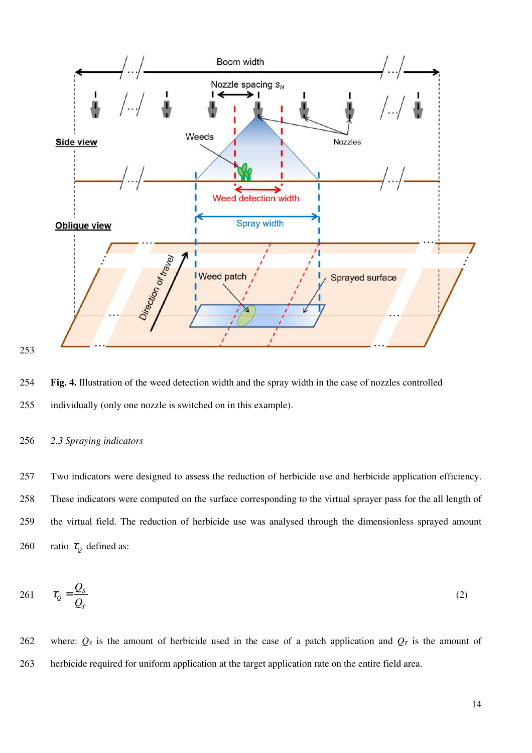

253

254 **Fig. 4.** Illustration of the weed detection width and the spray width in the case of nozzles controlled 255 individually (only one nozzle is switched on in this example).

### 256 *2.3 Spraying indicators*

257 Two indicators were designed to assess the reduction of herbicide use and herbicide application efficiency. 258 These indicators were computed on the surface corresponding to the virtual sprayer pass for the all length of 259 the virtual field. The reduction of herbicide use was analysed through the dimensionless sprayed amount 260 ratio  $\tau_{\varrho}$  defined as:

$$
261 \qquad \tau_{Q} = \frac{Q_{S}}{Q_{T}} \tag{2}
$$

262 where:  $Q_S$  is the amount of herbicide used in the case of a patch application and  $Q_T$  is the amount of 263 herbicide required for uniform application at the target application rate on the entire field area.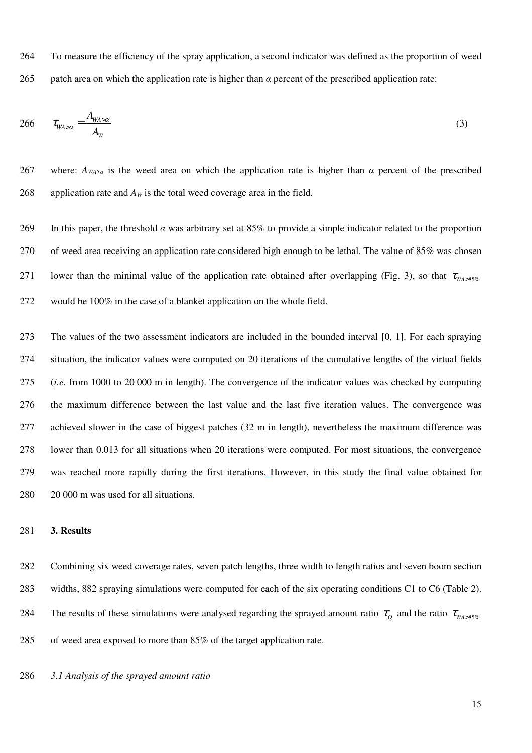264 To measure the efficiency of the spray application, a second indicator was defined as the proportion of weed 265 patch area on which the application rate is higher than *α* percent of the prescribed application rate:

$$
266 \t\t \tau_{W A > \alpha} = \frac{A_{W A > \alpha}}{A_W} \t\t(3)
$$

267 where:  $A_{W_A>\alpha}$  is the weed area on which the application rate is higher than  $\alpha$  percent of the prescribed 268 application rate and  $A_W$  is the total weed coverage area in the field.

269 In this paper, the threshold *α* was arbitrary set at 85% to provide a simple indicator related to the proportion 270 of weed area receiving an application rate considered high enough to be lethal. The value of 85% was chosen lower than the minimal value of the application rate obtained after overlapping (Fig. 3), so that  $\tau_{\text{W4} > 85\%}$ 271 272 would be 100% in the case of a blanket application on the whole field.

273 The values of the two assessment indicators are included in the bounded interval [0, 1]. For each spraying 274 situation, the indicator values were computed on 20 iterations of the cumulative lengths of the virtual fields 275 (*i.e.* from 1000 to 20 000 m in length). The convergence of the indicator values was checked by computing 276 the maximum difference between the last value and the last five iteration values. The convergence was 277 achieved slower in the case of biggest patches (32 m in length), nevertheless the maximum difference was 278 lower than 0.013 for all situations when 20 iterations were computed. For most situations, the convergence 279 was reached more rapidly during the first iterations. However, in this study the final value obtained for 280 20 000 m was used for all situations.

### 281 **3. Results**

282 Combining six weed coverage rates, seven patch lengths, three width to length ratios and seven boom section 283 widths, 882 spraying simulations were computed for each of the six operating conditions C1 to C6 (Table 2). The results of these simulations were analysed regarding the sprayed amount ratio  $\tau_{\varrho}$  and the ratio  $\tau_{_{WA>85\%}}$ 284 285 of weed area exposed to more than 85% of the target application rate.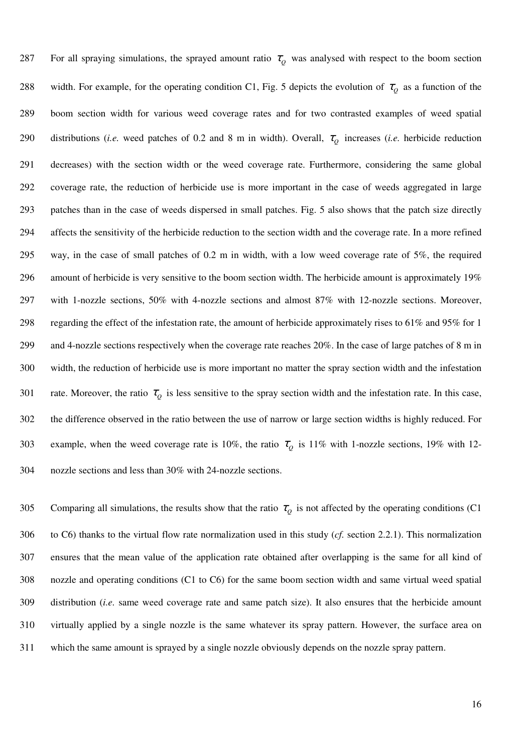For all spraying simulations, the sprayed amount ratio  $\tau_{\varrho}$  was analysed with respect to the boom section 288 width. For example, for the operating condition C1, Fig. 5 depicts the evolution of  $\tau_Q$  as a function of the 289 boom section width for various weed coverage rates and for two contrasted examples of weed spatial 290 distributions (*i.e.* weed patches of 0.2 and 8 m in width). Overall,  $\tau_{\rho}$  increases (*i.e.* herbicide reduction 291 decreases) with the section width or the weed coverage rate. Furthermore, considering the same global 292 coverage rate, the reduction of herbicide use is more important in the case of weeds aggregated in large 293 patches than in the case of weeds dispersed in small patches. Fig. 5 also shows that the patch size directly 294 affects the sensitivity of the herbicide reduction to the section width and the coverage rate. In a more refined 295 way, in the case of small patches of 0.2 m in width, with a low weed coverage rate of 5%, the required 296 amount of herbicide is very sensitive to the boom section width. The herbicide amount is approximately 19% 297 with 1-nozzle sections, 50% with 4-nozzle sections and almost 87% with 12-nozzle sections. Moreover, 298 regarding the effect of the infestation rate, the amount of herbicide approximately rises to 61% and 95% for 1 299 and 4-nozzle sections respectively when the coverage rate reaches 20%. In the case of large patches of 8 m in 300 width, the reduction of herbicide use is more important no matter the spray section width and the infestation 301 rate. Moreover, the ratio  $\tau_{\varrho}$  is less sensitive to the spray section width and the infestation rate. In this case, 302 the difference observed in the ratio between the use of narrow or large section widths is highly reduced. For example, when the weed coverage rate is 10%, the ratio  $\tau_{Q}$  is 11% with 1-nozzle sections, 19% with 12-304 nozzle sections and less than 30% with 24-nozzle sections.

Comparing all simulations, the results show that the ratio  $\tau_{\varrho}$  is not affected by the operating conditions (C1 306 to C6) thanks to the virtual flow rate normalization used in this study (*cf.* section 2.2.1). This normalization 307 ensures that the mean value of the application rate obtained after overlapping is the same for all kind of 308 nozzle and operating conditions (C1 to C6) for the same boom section width and same virtual weed spatial 309 distribution (*i.e.* same weed coverage rate and same patch size). It also ensures that the herbicide amount 310 virtually applied by a single nozzle is the same whatever its spray pattern. However, the surface area on 311 which the same amount is sprayed by a single nozzle obviously depends on the nozzle spray pattern.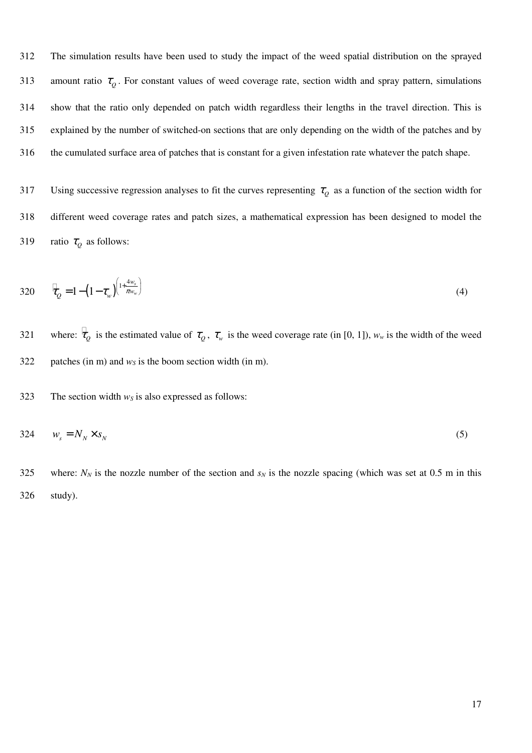312 The simulation results have been used to study the impact of the weed spatial distribution on the sprayed 313 amount ratio  $\tau_{\varrho}$ . For constant values of weed coverage rate, section width and spray pattern, simulations 314 show that the ratio only depended on patch width regardless their lengths in the travel direction. This is 315 explained by the number of switched-on sections that are only depending on the width of the patches and by 316 the cumulated surface area of patches that is constant for a given infestation rate whatever the patch shape.

Using successive regression analyses to fit the curves representing  $\tau_{\rho}$  as a function of the section width for 318 different weed coverage rates and patch sizes, a mathematical expression has been designed to model the 319  $\arctan \tau_Q$  as follows:

320 
$$
\tau_{Q} = 1 - \left(1 - \tau_{w}\right)^{\left(1 + \frac{4w_{s}}{\pi w_{w}}\right)}
$$
 (4)

321 where:  $\tau_Q$  is the estimated value of  $\tau_Q$ ,  $\tau_w$  is the weed coverage rate (in [0, 1]),  $w_w$  is the width of the weed 322 patches (in m) and  $w<sub>S</sub>$  is the boom section width (in m).

323 The section width  $w<sub>S</sub>$  is also expressed as follows:

$$
324 \t w_s = N_N \times s_N \t\t(5)
$$

325 where:  $N_N$  is the nozzle number of the section and  $S_N$  is the nozzle spacing (which was set at 0.5 m in this 326 study).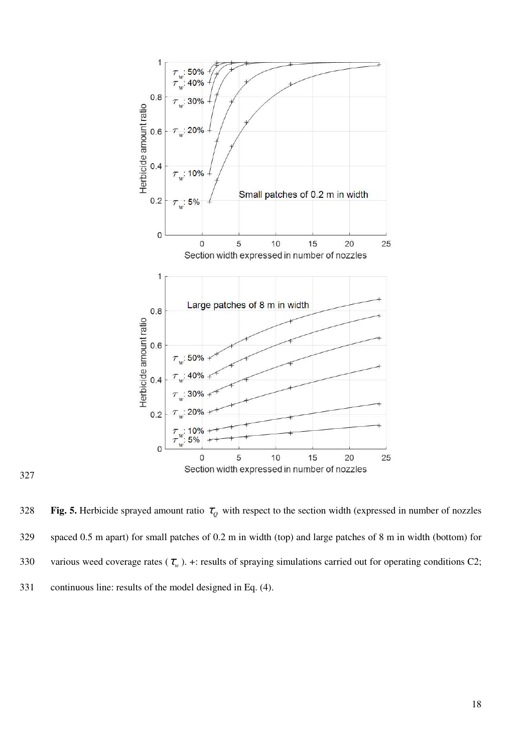

**Fig. 5.** Herbicide sprayed amount ratio  $\tau_{\varrho}$  with respect to the section width (expressed in number of nozzles 329 spaced 0.5 m apart) for small patches of 0.2 m in width (top) and large patches of 8 m in width (bottom) for 330 various weed coverage rates  $(\tau_w)$ . +: results of spraying simulations carried out for operating conditions C2; 331 continuous line: results of the model designed in Eq. (4).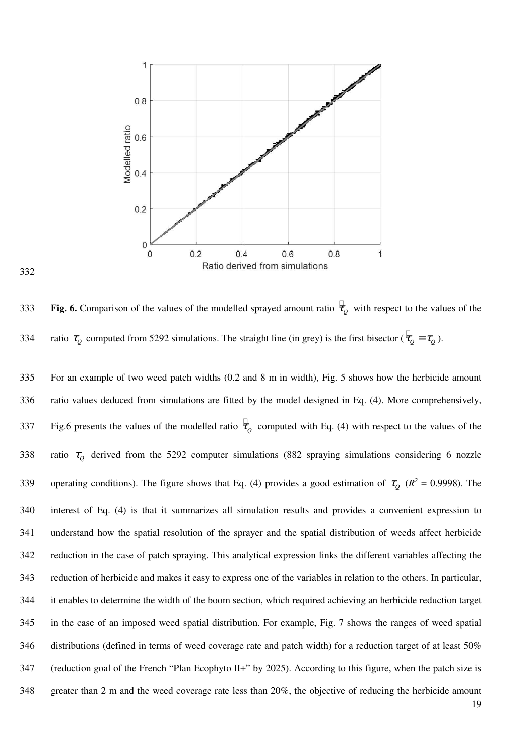



**Fig. 6.** Comparison of the values of the modelled sprayed amount ratio  $\tau_{Q}$  with respect to the values of the Tratio  $\tau_{\rho}$  computed from 5292 simulations. The straight line (in grey) is the first bisector ( $\tau_{\rho} = \tau_{\rho}$ ).

335 For an example of two weed patch widths (0.2 and 8 m in width), Fig. 5 shows how the herbicide amount 336 ratio values deduced from simulations are fitted by the model designed in Eq. (4). More comprehensively, Fig.6 presents the values of the modelled ratio  $\tau_{Q}$  computed with Eq. (4) with respect to the values of the 338 ratio  $\tau_{\rho}$  derived from the 5292 computer simulations (882 spraying simulations considering 6 nozzle operating conditions). The figure shows that Eq. (4) provides a good estimation of  $\tau_{Q}$  ( $R^2 = 0.9998$ ). The 340 interest of Eq. (4) is that it summarizes all simulation results and provides a convenient expression to 341 understand how the spatial resolution of the sprayer and the spatial distribution of weeds affect herbicide 342 reduction in the case of patch spraying. This analytical expression links the different variables affecting the 343 reduction of herbicide and makes it easy to express one of the variables in relation to the others. In particular, 344 it enables to determine the width of the boom section, which required achieving an herbicide reduction target 345 in the case of an imposed weed spatial distribution. For example, Fig. 7 shows the ranges of weed spatial 346 distributions (defined in terms of weed coverage rate and patch width) for a reduction target of at least 50% 347 (reduction goal of the French "Plan Ecophyto II+" by 2025). According to this figure, when the patch size is 348 greater than 2 m and the weed coverage rate less than 20%, the objective of reducing the herbicide amount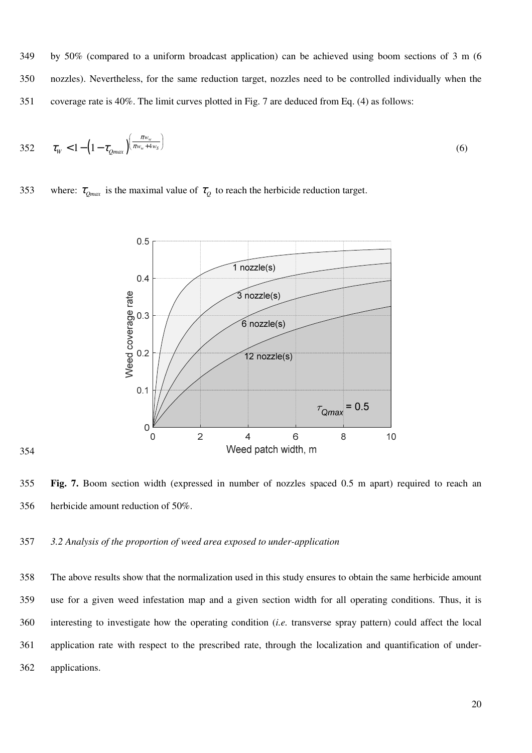349 by 50% (compared to a uniform broadcast application) can be achieved using boom sections of 3 m (6 350 nozzles). Nevertheless, for the same reduction target, nozzles need to be controlled individually when the 351 coverage rate is 40%. The limit curves plotted in Fig. 7 are deduced from Eq. (4) as follows:

352 
$$
\tau_{w} < 1 - \left(1 - \tau_{Qmax}\right) \left( \frac{\pi w_{w}}{\pi w_{w} + 4w_{S}} \right)
$$
 (6)

353 where:  $\tau_{Qmax}$  is the maximal value of  $\tau_{Q}$  to reach the herbicide reduction target.



354

355 **Fig. 7.** Boom section width (expressed in number of nozzles spaced 0.5 m apart) required to reach an 356 herbicide amount reduction of 50%.

### 357 *3.2 Analysis of the proportion of weed area exposed to under-application*

358 The above results show that the normalization used in this study ensures to obtain the same herbicide amount 359 use for a given weed infestation map and a given section width for all operating conditions. Thus, it is 360 interesting to investigate how the operating condition (*i.e.* transverse spray pattern) could affect the local 361 application rate with respect to the prescribed rate, through the localization and quantification of under-362 applications.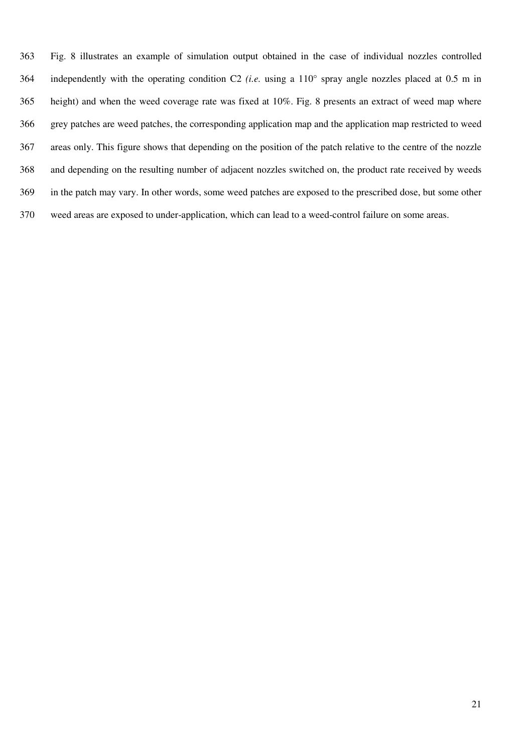363 Fig. 8 illustrates an example of simulation output obtained in the case of individual nozzles controlled 364 independently with the operating condition C2 *(i.e.* using a 110° spray angle nozzles placed at 0.5 m in 365 height) and when the weed coverage rate was fixed at 10%. Fig. 8 presents an extract of weed map where 366 grey patches are weed patches, the corresponding application map and the application map restricted to weed 367 areas only. This figure shows that depending on the position of the patch relative to the centre of the nozzle 368 and depending on the resulting number of adjacent nozzles switched on, the product rate received by weeds 369 in the patch may vary. In other words, some weed patches are exposed to the prescribed dose, but some other 370 weed areas are exposed to under-application, which can lead to a weed-control failure on some areas.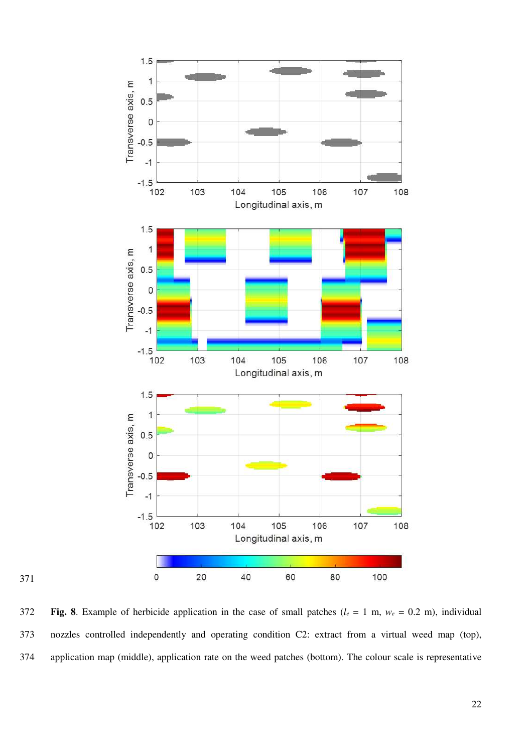

371

**Fig. 8**. Example of herbicide application in the case of small patches  $(l_e = 1 \text{ m}, w_e = 0.2 \text{ m})$ , individual 373 nozzles controlled independently and operating condition C2: extract from a virtual weed map (top), 374 application map (middle), application rate on the weed patches (bottom). The colour scale is representative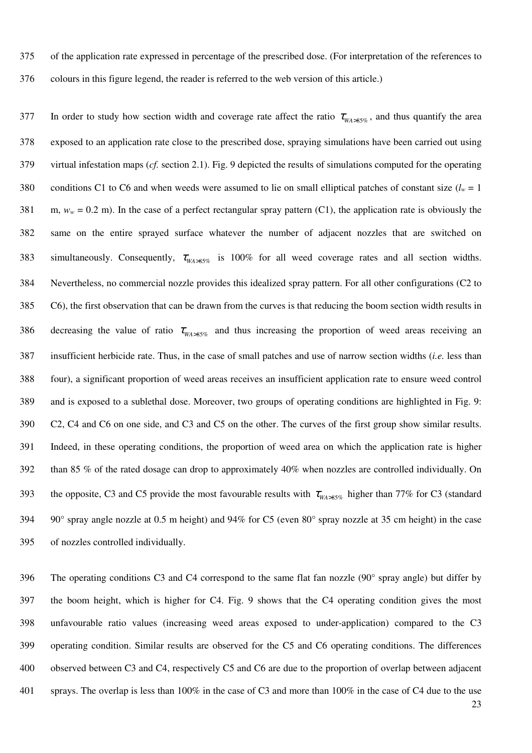- 375 of the application rate expressed in percentage of the prescribed dose. (For interpretation of the references to
- 376 colours in this figure legend, the reader is referred to the web version of this article.)

In order to study how section width and coverage rate affect the ratio  $\tau_{W\text{A}>85\%}$ , and thus quantify the area 378 exposed to an application rate close to the prescribed dose, spraying simulations have been carried out using 379 virtual infestation maps (*cf.* section 2.1). Fig. 9 depicted the results of simulations computed for the operating 380 conditions C1 to C6 and when weeds were assumed to lie on small elliptical patches of constant size  $(l_w = 1$ 381 m,  $w_w = 0.2$  m). In the case of a perfect rectangular spray pattern (C1), the application rate is obviously the 382 same on the entire sprayed surface whatever the number of adjacent nozzles that are switched on 383 simultaneously. Consequently,  $\tau_{W\rightarrow 85\%}$  is 100% for all weed coverage rates and all section widths. 384 Nevertheless, no commercial nozzle provides this idealized spray pattern. For all other configurations (C2 to 385 C6), the first observation that can be drawn from the curves is that reducing the boom section width results in 386 decreasing the value of ratio  $\tau_{W\!A>85\%}$  and thus increasing the proportion of weed areas receiving an 387 insufficient herbicide rate. Thus, in the case of small patches and use of narrow section widths (*i.e.* less than 388 four), a significant proportion of weed areas receives an insufficient application rate to ensure weed control 389 and is exposed to a sublethal dose. Moreover, two groups of operating conditions are highlighted in Fig. 9: 390 C2, C4 and C6 on one side, and C3 and C5 on the other. The curves of the first group show similar results. 391 Indeed, in these operating conditions, the proportion of weed area on which the application rate is higher 392 than 85 % of the rated dosage can drop to approximately 40% when nozzles are controlled individually. On the opposite, C3 and C5 provide the most favourable results with  $\tau_{W\text{A}>85\%}$  higher than 77% for C3 (standard 394 90° spray angle nozzle at 0.5 m height) and 94% for C5 (even 80° spray nozzle at 35 cm height) in the case 395 of nozzles controlled individually.

396 The operating conditions C3 and C4 correspond to the same flat fan nozzle (90° spray angle) but differ by 397 the boom height, which is higher for C4. Fig. 9 shows that the C4 operating condition gives the most 398 unfavourable ratio values (increasing weed areas exposed to under-application) compared to the C3 399 operating condition. Similar results are observed for the C5 and C6 operating conditions. The differences 400 observed between C3 and C4, respectively C5 and C6 are due to the proportion of overlap between adjacent 401 sprays. The overlap is less than 100% in the case of C3 and more than 100% in the case of C4 due to the use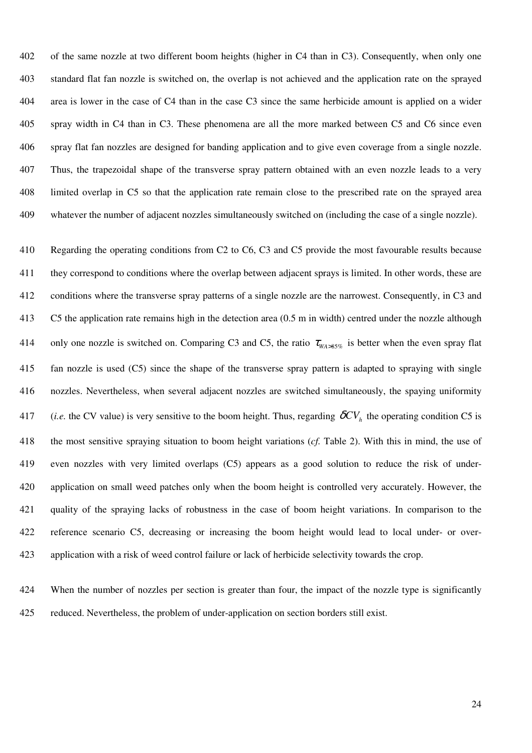402 of the same nozzle at two different boom heights (higher in C4 than in C3). Consequently, when only one 403 standard flat fan nozzle is switched on, the overlap is not achieved and the application rate on the sprayed 404 area is lower in the case of C4 than in the case C3 since the same herbicide amount is applied on a wider 405 spray width in C4 than in C3. These phenomena are all the more marked between C5 and C6 since even 406 spray flat fan nozzles are designed for banding application and to give even coverage from a single nozzle. 407 Thus, the trapezoidal shape of the transverse spray pattern obtained with an even nozzle leads to a very 408 limited overlap in C5 so that the application rate remain close to the prescribed rate on the sprayed area 409 whatever the number of adjacent nozzles simultaneously switched on (including the case of a single nozzle).

410 Regarding the operating conditions from C2 to C6, C3 and C5 provide the most favourable results because 411 they correspond to conditions where the overlap between adjacent sprays is limited. In other words, these are 412 conditions where the transverse spray patterns of a single nozzle are the narrowest. Consequently, in C3 and 413 C5 the application rate remains high in the detection area (0.5 m in width) centred under the nozzle although 414 only one nozzle is switched on. Comparing C3 and C5, the ratio  $\tau_{W\text{A}>85\%}$  is better when the even spray flat 415 fan nozzle is used (C5) since the shape of the transverse spray pattern is adapted to spraying with single 416 nozzles. Nevertheless, when several adjacent nozzles are switched simultaneously, the spaying uniformity 417 (*i.e.* the CV value) is very sensitive to the boom height. Thus, regarding  $\delta CV_h$  the operating condition C5 is 418 the most sensitive spraying situation to boom height variations (*cf.* Table 2). With this in mind, the use of 419 even nozzles with very limited overlaps (C5) appears as a good solution to reduce the risk of under-420 application on small weed patches only when the boom height is controlled very accurately. However, the 421 quality of the spraying lacks of robustness in the case of boom height variations. In comparison to the 422 reference scenario C5, decreasing or increasing the boom height would lead to local under- or over-423 application with a risk of weed control failure or lack of herbicide selectivity towards the crop.

424 When the number of nozzles per section is greater than four, the impact of the nozzle type is significantly 425 reduced. Nevertheless, the problem of under-application on section borders still exist.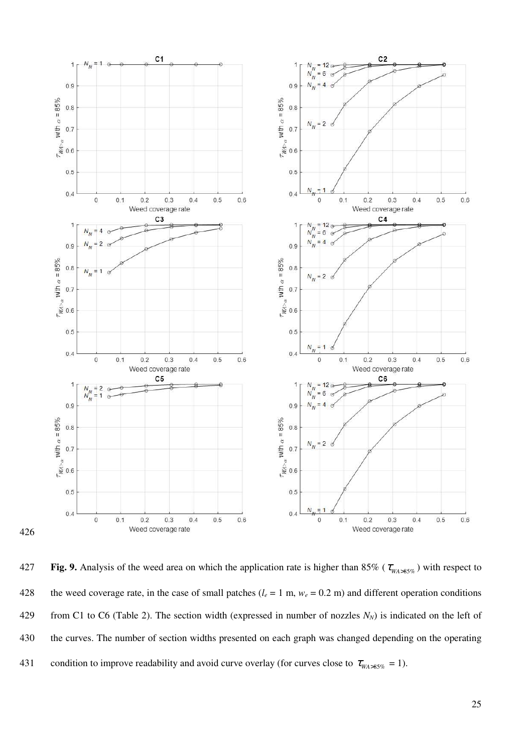

**Fig. 9.** Analysis of the weed area on which the application rate is higher than  $85\%$  ( $\tau_{WAS85\%}$ ) with respect to 428 the weed coverage rate, in the case of small patches  $(l_e = 1 \text{ m}, w_e = 0.2 \text{ m})$  and different operation conditions 429 from C1 to C6 (Table 2). The section width (expressed in number of nozzles  $N_N$ ) is indicated on the left of 430 the curves. The number of section widths presented on each graph was changed depending on the operating 431 condition to improve readability and avoid curve overlay (for curves close to  $\tau_{W\text{A}>85\%} = 1$ ).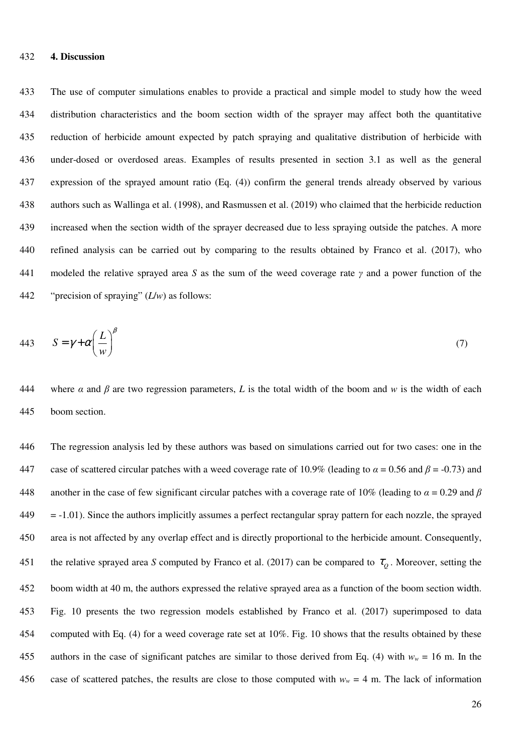### 432 **4. Discussion**

433 The use of computer simulations enables to provide a practical and simple model to study how the weed 434 distribution characteristics and the boom section width of the sprayer may affect both the quantitative 435 reduction of herbicide amount expected by patch spraying and qualitative distribution of herbicide with 436 under-dosed or overdosed areas. Examples of results presented in section 3.1 as well as the general 437 expression of the sprayed amount ratio (Eq. (4)) confirm the general trends already observed by various 438 authors such as Wallinga et al. (1998), and Rasmussen et al. (2019) who claimed that the herbicide reduction 439 increased when the section width of the sprayer decreased due to less spraying outside the patches. A more 440 refined analysis can be carried out by comparing to the results obtained by Franco et al. (2017), who 441 modeled the relative sprayed area *S* as the sum of the weed coverage rate *γ* and a power function of the 442 "precision of spraying" (*L*/*w*) as follows:

443 
$$
S = \gamma + \alpha \left(\frac{L}{w}\right)^{\beta} \tag{7}
$$

444 where *α* and *β* are two regression parameters, *L* is the total width of the boom and *w* is the width of each 445 boom section.

446 The regression analysis led by these authors was based on simulations carried out for two cases: one in the case of scattered circular patches with a weed coverage rate of 10.9% (leading to  $\alpha = 0.56$  and  $\beta = -0.73$ ) and 448 another in the case of few significant circular patches with a coverage rate of 10% (leading to  $\alpha = 0.29$  and  $\beta$  $449 = -1.01$ ). Since the authors implicitly assumes a perfect rectangular spray pattern for each nozzle, the sprayed 450 area is not affected by any overlap effect and is directly proportional to the herbicide amount. Consequently, the relative sprayed area *S* computed by Franco et al. (2017) can be compared to  $\tau_{\varrho}$ . Moreover, setting the 452 boom width at 40 m, the authors expressed the relative sprayed area as a function of the boom section width. 453 Fig. 10 presents the two regression models established by Franco et al. (2017) superimposed to data 454 computed with Eq. (4) for a weed coverage rate set at 10%. Fig. 10 shows that the results obtained by these 455 authors in the case of significant patches are similar to those derived from Eq. (4) with  $w_w = 16$  m. In the 456 case of scattered patches, the results are close to those computed with  $w_w = 4$  m. The lack of information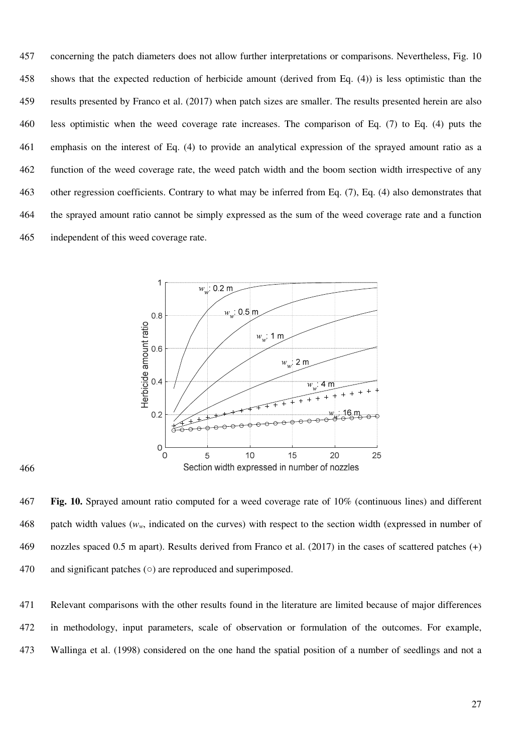457 concerning the patch diameters does not allow further interpretations or comparisons. Nevertheless, Fig. 10 458 shows that the expected reduction of herbicide amount (derived from Eq. (4)) is less optimistic than the 459 results presented by Franco et al. (2017) when patch sizes are smaller. The results presented herein are also 460 less optimistic when the weed coverage rate increases. The comparison of Eq. (7) to Eq. (4) puts the 461 emphasis on the interest of Eq. (4) to provide an analytical expression of the sprayed amount ratio as a 462 function of the weed coverage rate, the weed patch width and the boom section width irrespective of any 463 other regression coefficients. Contrary to what may be inferred from Eq. (7), Eq. (4) also demonstrates that 464 the sprayed amount ratio cannot be simply expressed as the sum of the weed coverage rate and a function 465 independent of this weed coverage rate.

![](_page_27_Figure_1.jpeg)

466

467 **Fig. 10.** Sprayed amount ratio computed for a weed coverage rate of 10% (continuous lines) and different 468 patch width values  $(w_w)$ , indicated on the curves) with respect to the section width (expressed in number of 469 nozzles spaced 0.5 m apart). Results derived from Franco et al. (2017) in the cases of scattered patches (+) 470 and significant patches ( $\circ$ ) are reproduced and superimposed.

471 Relevant comparisons with the other results found in the literature are limited because of major differences 472 in methodology, input parameters, scale of observation or formulation of the outcomes. For example, 473 Wallinga et al. (1998) considered on the one hand the spatial position of a number of seedlings and not a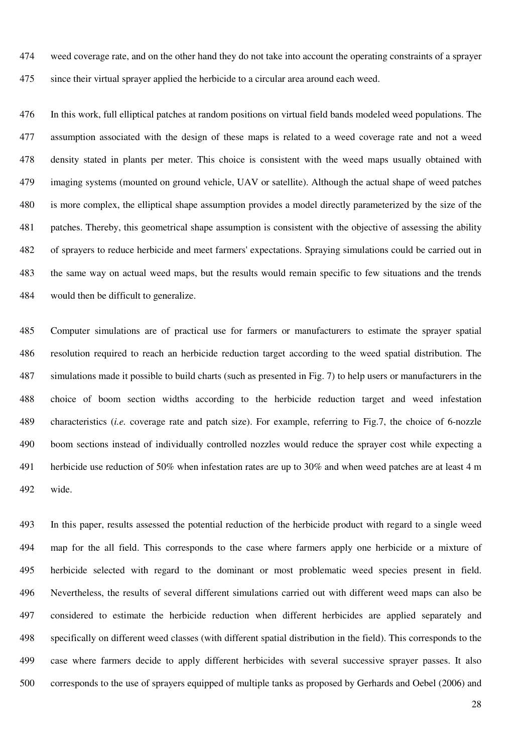474 weed coverage rate, and on the other hand they do not take into account the operating constraints of a sprayer 475 since their virtual sprayer applied the herbicide to a circular area around each weed.

476 In this work, full elliptical patches at random positions on virtual field bands modeled weed populations. The 477 assumption associated with the design of these maps is related to a weed coverage rate and not a weed 478 density stated in plants per meter. This choice is consistent with the weed maps usually obtained with 479 imaging systems (mounted on ground vehicle, UAV or satellite). Although the actual shape of weed patches 480 is more complex, the elliptical shape assumption provides a model directly parameterized by the size of the 481 patches. Thereby, this geometrical shape assumption is consistent with the objective of assessing the ability 482 of sprayers to reduce herbicide and meet farmers' expectations. Spraying simulations could be carried out in 483 the same way on actual weed maps, but the results would remain specific to few situations and the trends 484 would then be difficult to generalize.

485 Computer simulations are of practical use for farmers or manufacturers to estimate the sprayer spatial 486 resolution required to reach an herbicide reduction target according to the weed spatial distribution. The 487 simulations made it possible to build charts (such as presented in Fig. 7) to help users or manufacturers in the 488 choice of boom section widths according to the herbicide reduction target and weed infestation 489 characteristics (*i.e.* coverage rate and patch size). For example, referring to Fig.7, the choice of 6-nozzle 490 boom sections instead of individually controlled nozzles would reduce the sprayer cost while expecting a 491 herbicide use reduction of 50% when infestation rates are up to 30% and when weed patches are at least 4 m 492 wide.

493 In this paper, results assessed the potential reduction of the herbicide product with regard to a single weed 494 map for the all field. This corresponds to the case where farmers apply one herbicide or a mixture of 495 herbicide selected with regard to the dominant or most problematic weed species present in field. 496 Nevertheless, the results of several different simulations carried out with different weed maps can also be 497 considered to estimate the herbicide reduction when different herbicides are applied separately and 498 specifically on different weed classes (with different spatial distribution in the field). This corresponds to the 499 case where farmers decide to apply different herbicides with several successive sprayer passes. It also 500 corresponds to the use of sprayers equipped of multiple tanks as proposed by Gerhards and Oebel (2006) and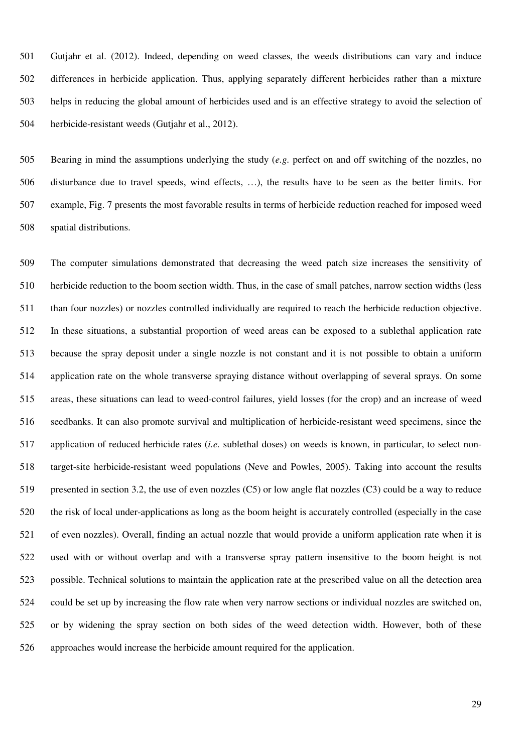501 Gutjahr et al. (2012). Indeed, depending on weed classes, the weeds distributions can vary and induce 502 differences in herbicide application. Thus, applying separately different herbicides rather than a mixture 503 helps in reducing the global amount of herbicides used and is an effective strategy to avoid the selection of 504 herbicide-resistant weeds (Gutjahr et al., 2012).

505 Bearing in mind the assumptions underlying the study (*e.g.* perfect on and off switching of the nozzles, no 506 disturbance due to travel speeds, wind effects, …), the results have to be seen as the better limits. For 507 example, Fig. 7 presents the most favorable results in terms of herbicide reduction reached for imposed weed 508 spatial distributions.

509 The computer simulations demonstrated that decreasing the weed patch size increases the sensitivity of 510 herbicide reduction to the boom section width. Thus, in the case of small patches, narrow section widths (less 511 than four nozzles) or nozzles controlled individually are required to reach the herbicide reduction objective. 512 In these situations, a substantial proportion of weed areas can be exposed to a sublethal application rate 513 because the spray deposit under a single nozzle is not constant and it is not possible to obtain a uniform 514 application rate on the whole transverse spraying distance without overlapping of several sprays. On some 515 areas, these situations can lead to weed-control failures, yield losses (for the crop) and an increase of weed 516 seedbanks. It can also promote survival and multiplication of herbicide-resistant weed specimens, since the 517 application of reduced herbicide rates (*i.e.* sublethal doses) on weeds is known, in particular, to select non-518 target-site herbicide-resistant weed populations (Neve and Powles, 2005). Taking into account the results 519 presented in section 3.2, the use of even nozzles (C5) or low angle flat nozzles (C3) could be a way to reduce 520 the risk of local under-applications as long as the boom height is accurately controlled (especially in the case 521 of even nozzles). Overall, finding an actual nozzle that would provide a uniform application rate when it is 522 used with or without overlap and with a transverse spray pattern insensitive to the boom height is not 523 possible. Technical solutions to maintain the application rate at the prescribed value on all the detection area 524 could be set up by increasing the flow rate when very narrow sections or individual nozzles are switched on, 525 or by widening the spray section on both sides of the weed detection width. However, both of these 526 approaches would increase the herbicide amount required for the application.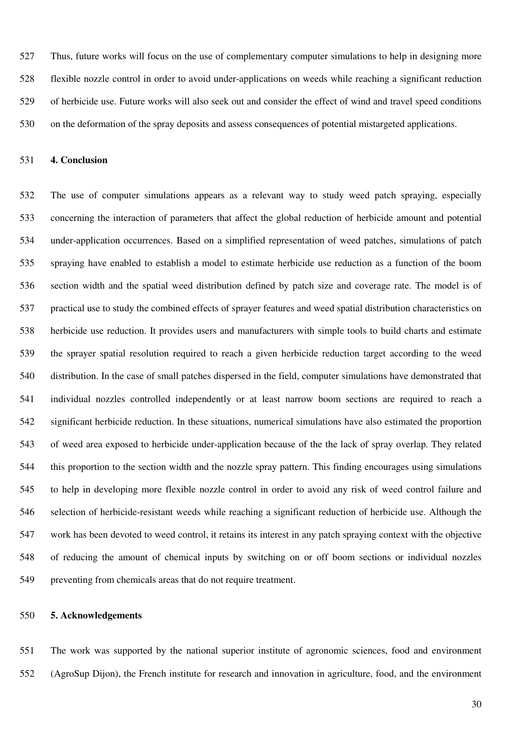527 Thus, future works will focus on the use of complementary computer simulations to help in designing more 528 flexible nozzle control in order to avoid under-applications on weeds while reaching a significant reduction 529 of herbicide use. Future works will also seek out and consider the effect of wind and travel speed conditions 530 on the deformation of the spray deposits and assess consequences of potential mistargeted applications.

531 **4. Conclusion** 

532 The use of computer simulations appears as a relevant way to study weed patch spraying, especially 533 concerning the interaction of parameters that affect the global reduction of herbicide amount and potential 534 under-application occurrences. Based on a simplified representation of weed patches, simulations of patch 535 spraying have enabled to establish a model to estimate herbicide use reduction as a function of the boom 536 section width and the spatial weed distribution defined by patch size and coverage rate. The model is of 537 practical use to study the combined effects of sprayer features and weed spatial distribution characteristics on 538 herbicide use reduction. It provides users and manufacturers with simple tools to build charts and estimate 539 the sprayer spatial resolution required to reach a given herbicide reduction target according to the weed 540 distribution. In the case of small patches dispersed in the field, computer simulations have demonstrated that 541 individual nozzles controlled independently or at least narrow boom sections are required to reach a 542 significant herbicide reduction. In these situations, numerical simulations have also estimated the proportion 543 of weed area exposed to herbicide under-application because of the the lack of spray overlap. They related 544 this proportion to the section width and the nozzle spray pattern. This finding encourages using simulations 545 to help in developing more flexible nozzle control in order to avoid any risk of weed control failure and 546 selection of herbicide-resistant weeds while reaching a significant reduction of herbicide use. Although the 547 work has been devoted to weed control, it retains its interest in any patch spraying context with the objective 548 of reducing the amount of chemical inputs by switching on or off boom sections or individual nozzles 549 preventing from chemicals areas that do not require treatment.

### 550 **5. Acknowledgements**

551 The work was supported by the national superior institute of agronomic sciences, food and environment 552 (AgroSup Dijon), the French institute for research and innovation in agriculture, food, and the environment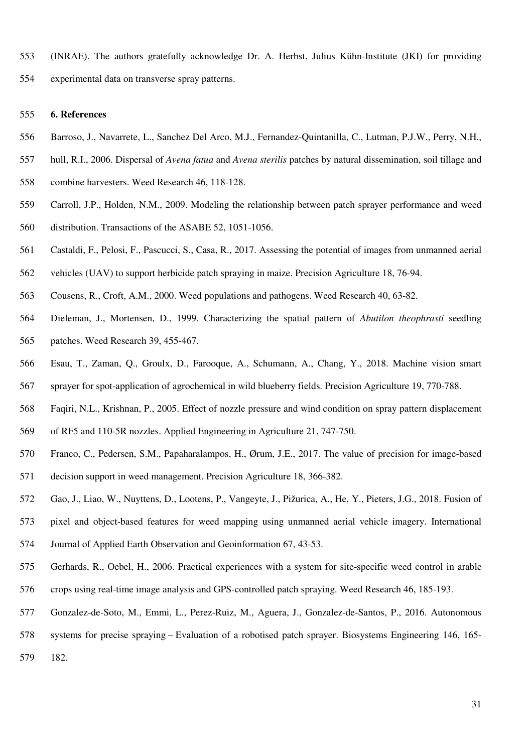- 553 (INRAE). The authors gratefully acknowledge Dr. A. Herbst, Julius Kühn-Institute (JKI) for providing
- 554 experimental data on transverse spray patterns.

### 555 **6. References**

- 556 Barroso, J., Navarrete, L., Sanchez Del Arco, M.J., Fernandez-Quintanilla, C., Lutman, P.J.W., Perry, N.H.,
- 557 hull, R.I., 2006. Dispersal of *Avena fatua* and *Avena sterilis* patches by natural dissemination, soil tillage and
- 558 combine harvesters. Weed Research 46, 118-128.
- 559 Carroll, J.P., Holden, N.M., 2009. Modeling the relationship between patch sprayer performance and weed
- 560 distribution. Transactions of the ASABE 52, 1051-1056.
- 561 Castaldi, F., Pelosi, F., Pascucci, S., Casa, R., 2017. Assessing the potential of images from unmanned aerial
- 562 vehicles (UAV) to support herbicide patch spraying in maize. Precision Agriculture 18, 76-94.
- 563 Cousens, R., Croft, A.M., 2000. Weed populations and pathogens. Weed Research 40, 63-82.
- 564 Dieleman, J., Mortensen, D., 1999. Characterizing the spatial pattern of *Abutilon theophrasti* seedling 565 patches. Weed Research 39, 455-467.
- 566 Esau, T., Zaman, Q., Groulx, D., Farooque, A., Schumann, A., Chang, Y., 2018. Machine vision smart 567 sprayer for spot-application of agrochemical in wild blueberry fields. Precision Agriculture 19, 770-788.
- 568 Faqiri, N.L., Krishnan, P., 2005. Effect of nozzle pressure and wind condition on spray pattern displacement
- 569 of RF5 and 110-5R nozzles. Applied Engineering in Agriculture 21, 747-750.
- 570 Franco, C., Pedersen, S.M., Papaharalampos, H., Ørum, J.E., 2017. The value of precision for image-based 571 decision support in weed management. Precision Agriculture 18, 366-382.
- 572 Gao, J., Liao, W., Nuyttens, D., Lootens, P., Vangeyte, J., Pižurica, A., He, Y., Pieters, J.G., 2018. Fusion of
- 573 pixel and object-based features for weed mapping using unmanned aerial vehicle imagery. International
- 574 Journal of Applied Earth Observation and Geoinformation 67, 43-53.
- 575 Gerhards, R., Oebel, H., 2006. Practical experiences with a system for site-specific weed control in arable
- 576 crops using real-time image analysis and GPS-controlled patch spraying. Weed Research 46, 185-193.
- 577 Gonzalez-de-Soto, M., Emmi, L., Perez-Ruiz, M., Aguera, J., Gonzalez-de-Santos, P., 2016. Autonomous
- 578 systems for precise spraying Evaluation of a robotised patch sprayer. Biosystems Engineering 146, 165-
- 579 182.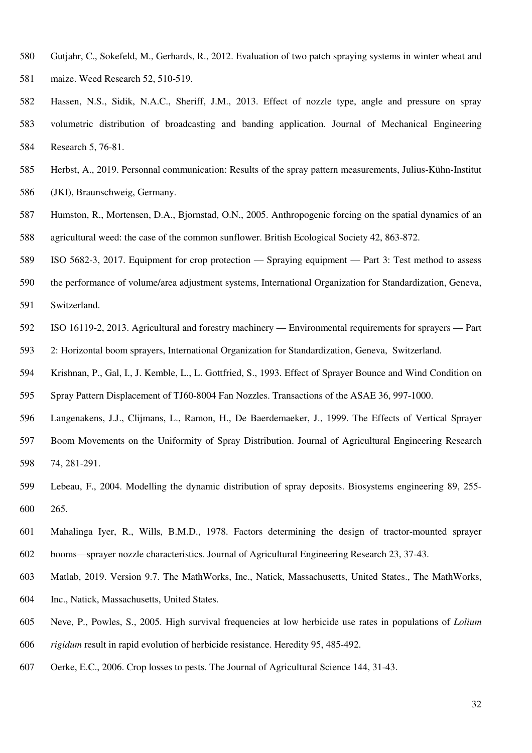- 580 Gutjahr, C., Sokefeld, M., Gerhards, R., 2012. Evaluation of two patch spraying systems in winter wheat and 581 maize. Weed Research 52, 510-519.
- 582 Hassen, N.S., Sidik, N.A.C., Sheriff, J.M., 2013. Effect of nozzle type, angle and pressure on spray 583 volumetric distribution of broadcasting and banding application. Journal of Mechanical Engineering 584 Research 5, 76-81.
- 585 Herbst, A., 2019. Personnal communication: Results of the spray pattern measurements, Julius-Kühn-Institut 586 (JKI), Braunschweig, Germany.
- 587 Humston, R., Mortensen, D.A., Bjornstad, O.N., 2005. Anthropogenic forcing on the spatial dynamics of an 588 agricultural weed: the case of the common sunflower. British Ecological Society 42, 863-872.
- 589 ISO 5682-3, 2017. Equipment for crop protection Spraying equipment Part 3: Test method to assess
- 590 the performance of volume/area adjustment systems, International Organization for Standardization, Geneva, 591 Switzerland.
- 592 ISO 16119-2, 2013. Agricultural and forestry machinery Environmental requirements for sprayers Part 593 2: Horizontal boom sprayers, International Organization for Standardization, Geneva, Switzerland.
- 594 Krishnan, P., Gal, I., J. Kemble, L., L. Gottfried, S., 1993. Effect of Sprayer Bounce and Wind Condition on 595 Spray Pattern Displacement of TJ60-8004 Fan Nozzles. Transactions of the ASAE 36, 997-1000.
- 596 Langenakens, J.J., Clijmans, L., Ramon, H., De Baerdemaeker, J., 1999. The Effects of Vertical Sprayer 597 Boom Movements on the Uniformity of Spray Distribution. Journal of Agricultural Engineering Research 598 74, 281-291.
- 599 Lebeau, F., 2004. Modelling the dynamic distribution of spray deposits. Biosystems engineering 89, 255- 600 265.
- 601 Mahalinga Iyer, R., Wills, B.M.D., 1978. Factors determining the design of tractor-mounted sprayer 602 booms—sprayer nozzle characteristics. Journal of Agricultural Engineering Research 23, 37-43.
- 603 Matlab, 2019. Version 9.7. The MathWorks, Inc., Natick, Massachusetts, United States., The MathWorks,
- 604 Inc., Natick, Massachusetts, United States.
- 605 Neve, P., Powles, S., 2005. High survival frequencies at low herbicide use rates in populations of *Lolium*
- 606 *rigidum* result in rapid evolution of herbicide resistance. Heredity 95, 485-492.
- 607 Oerke, E.C., 2006. Crop losses to pests. The Journal of Agricultural Science 144, 31-43.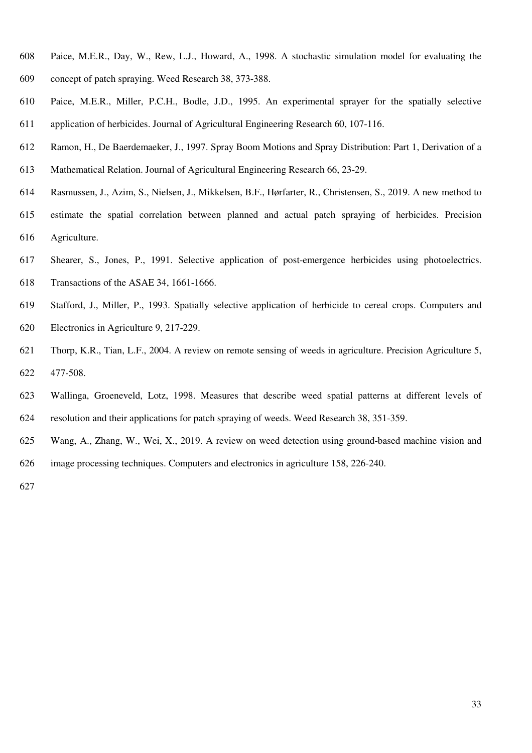- 608 Paice, M.E.R., Day, W., Rew, L.J., Howard, A., 1998. A stochastic simulation model for evaluating the
- 609 concept of patch spraying. Weed Research 38, 373-388.
- 610 Paice, M.E.R., Miller, P.C.H., Bodle, J.D., 1995. An experimental sprayer for the spatially selective 611 application of herbicides. Journal of Agricultural Engineering Research 60, 107-116.
- 612 Ramon, H., De Baerdemaeker, J., 1997. Spray Boom Motions and Spray Distribution: Part 1, Derivation of a 613 Mathematical Relation. Journal of Agricultural Engineering Research 66, 23-29.
- 614 Rasmussen, J., Azim, S., Nielsen, J., Mikkelsen, B.F., Hørfarter, R., Christensen, S., 2019. A new method to
- 615 estimate the spatial correlation between planned and actual patch spraying of herbicides. Precision 616 Agriculture.
- 617 Shearer, S., Jones, P., 1991. Selective application of post-emergence herbicides using photoelectrics.
- 618 Transactions of the ASAE 34, 1661-1666.
- 619 Stafford, J., Miller, P., 1993. Spatially selective application of herbicide to cereal crops. Computers and 620 Electronics in Agriculture 9, 217-229.
- 621 Thorp, K.R., Tian, L.F., 2004. A review on remote sensing of weeds in agriculture. Precision Agriculture 5, 622 477-508.
- 623 Wallinga, Groeneveld, Lotz, 1998. Measures that describe weed spatial patterns at different levels of 624 resolution and their applications for patch spraying of weeds. Weed Research 38, 351-359.
- 625 Wang, A., Zhang, W., Wei, X., 2019. A review on weed detection using ground-based machine vision and 626 image processing techniques. Computers and electronics in agriculture 158, 226-240.